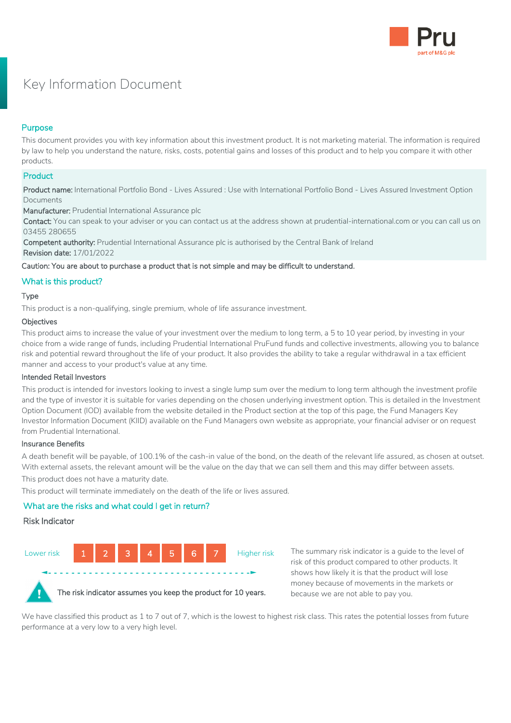

# Key Information Document

# Purpose

This document provides you with key information about this investment product. It is not marketing material. The information is required by law to help you understand the nature, risks, costs, potential gains and losses of this product and to help you compare it with other products.

# **Product**

Product name: International Portfolio Bond - Lives Assured : Use with International Portfolio Bond - Lives Assured Investment Option Documents

Manufacturer: Prudential International Assurance plc

Contact: You can speak to your adviser or you can contact us at the address shown at prudential-international.com or you can call us on 03455 280655

Competent authority: Prudential International Assurance plc is authorised by the Central Bank of Ireland Revision date: 17/01/2022

Caution: You are about to purchase a product that is not simple and may be difficult to understand.

# What is this product?

# Type

This product is a non-qualifying, single premium, whole of life assurance investment.

# Objectives

This product aims to increase the value of your investment over the medium to long term, a 5 to 10 year period, by investing in your choice from a wide range of funds, including Prudential International PruFund funds and collective investments, allowing you to balance risk and potential reward throughout the life of your product. It also provides the ability to take a regular withdrawal in a tax efficient manner and access to your product's value at any time.

# Intended Retail Investors

This product is intended for investors looking to invest a single lump sum over the medium to long term although the investment profile and the type of investor it is suitable for varies depending on the chosen underlying investment option. This is detailed in the Investment Option Document (IOD) available from the website detailed in the Product section at the top of this page, the Fund Managers Key Investor Information Document (KIID) available on the Fund Managers own website as appropriate, your financial adviser or on request from Prudential International.

# Insurance Benefits

A death benefit will be payable, of 100.1% of the cash-in value of the bond, on the death of the relevant life assured, as chosen at outset. With external assets, the relevant amount will be the value on the day that we can sell them and this may differ between assets.

This product does not have a maturity date.

This product will terminate immediately on the death of the life or lives assured.

# What are the risks and what could I get in return?

# Risk Indicator



The summary risk indicator is a guide to the level of risk of this product compared to other products. It shows how likely it is that the product will lose money because of movements in the markets or because we are not able to pay you.

We have classified this product as 1 to 7 out of 7, which is the lowest to highest risk class. This rates the potential losses from future performance at a very low to a very high level.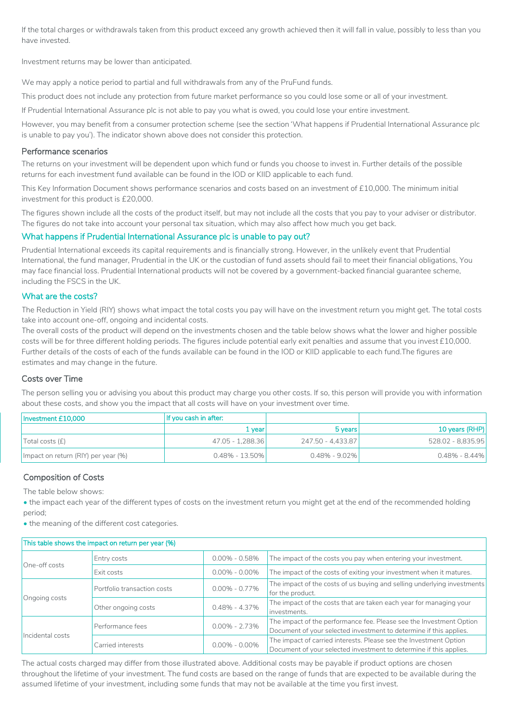If the total charges or withdrawals taken from this product exceed any growth achieved then it will fall in value, possibly to less than you have invested.

Investment returns may be lower than anticipated.

We may apply a notice period to partial and full withdrawals from any of the PruFund funds.

This product does not include any protection from future market performance so you could lose some or all of your investment.

If Prudential International Assurance plc is not able to pay you what is owed, you could lose your entire investment.

However, you may benefit from a consumer protection scheme (see the section 'What happens if Prudential International Assurance plc is unable to pay you'). The indicator shown above does not consider this protection.

#### Performance scenarios

The returns on your investment will be dependent upon which fund or funds you choose to invest in. Further details of the possible returns for each investment fund available can be found in the IOD or KIID applicable to each fund.

This Key Information Document shows performance scenarios and costs based on an investment of £10,000. The minimum initial investment for this product is £20,000.

The figures shown include all the costs of the product itself, but may not include all the costs that you pay to your adviser or distributor. The figures do not take into account your personal tax situation, which may also affect how much you get back.

# What happens if Prudential International Assurance plc is unable to pay out?

Prudential International exceeds its capital requirements and is financially strong. However, in the unlikely event that Prudential International, the fund manager, Prudential in the UK or the custodian of fund assets should fail to meet their financial obligations, You may face financial loss. Prudential International products will not be covered by a government-backed financial guarantee scheme, including the FSCS in the UK.

# What are the costs?

The Reduction in Yield (RIY) shows what impact the total costs you pay will have on the investment return you might get. The total costs take into account one-off, ongoing and incidental costs.

The overall costs of the product will depend on the investments chosen and the table below shows what the lower and higher possible costs will be for three different holding periods. The figures include potential early exit penalties and assume that you invest £10,000. Further details of the costs of each of the funds available can be found in the IOD or KIID applicable to each fund.The figures are estimates and may change in the future.

# Costs over Time

The person selling you or advising you about this product may charge you other costs. If so, this person will provide you with information about these costs, and show you the impact that all costs will have on your investment over time.

| Investment £10,000                  | If you cash in after: |                    |                   |
|-------------------------------------|-----------------------|--------------------|-------------------|
|                                     | 1 year!               | 5 years            | 10 years (RHP)    |
| $\vert$ Total costs $\vert f \vert$ | 47.05 - 1.288.36      | 247.50 - 4.433.871 | 528.02 - 8,835.95 |
| Impact on return (RIY) per year (%) | $0.48\% - 13.50\%$    | $0.48\%$ - 9.02%   | $0.48\%$ - 8.44%  |

# Composition of Costs

The table below shows:

• the impact each year of the different types of costs on the investment return you might get at the end of the recommended holding period;

• the meaning of the different cost categories.

| This table shows the impact on return per year (%) |                                       |                   |                                                                                                                                           |  |  |
|----------------------------------------------------|---------------------------------------|-------------------|-------------------------------------------------------------------------------------------------------------------------------------------|--|--|
| One-off costs                                      | Entry costs                           | $0.00\% - 0.58\%$ | The impact of the costs you pay when entering your investment.                                                                            |  |  |
|                                                    | Exit costs                            | $0.00\% - 0.00\%$ | The impact of the costs of exiting your investment when it matures.                                                                       |  |  |
| Ongoing costs                                      | Portfolio transaction costs           | $0.00\% - 0.77\%$ | The impact of the costs of us buying and selling underlying investments<br>for the product.                                               |  |  |
|                                                    | Other ongoing costs                   | $0.48\% - 4.37\%$ | The impact of the costs that are taken each year for managing your<br>investments.                                                        |  |  |
| Incidental costs                                   | $0.00\% - 2.73\%$<br>Performance fees |                   | The impact of the performance fee. Please see the Investment Option<br>Document of your selected investment to determine if this applies. |  |  |
|                                                    | Carried interests                     | $0.00\% - 0.00\%$ | The impact of carried interests. Please see the Investment Option<br>Document of your selected investment to determine if this applies.   |  |  |

The actual costs charged may differ from those illustrated above. Additional costs may be payable if product options are chosen throughout the lifetime of your investment. The fund costs are based on the range of funds that are expected to be available during the assumed lifetime of your investment, including some funds that may not be available at the time you first invest.